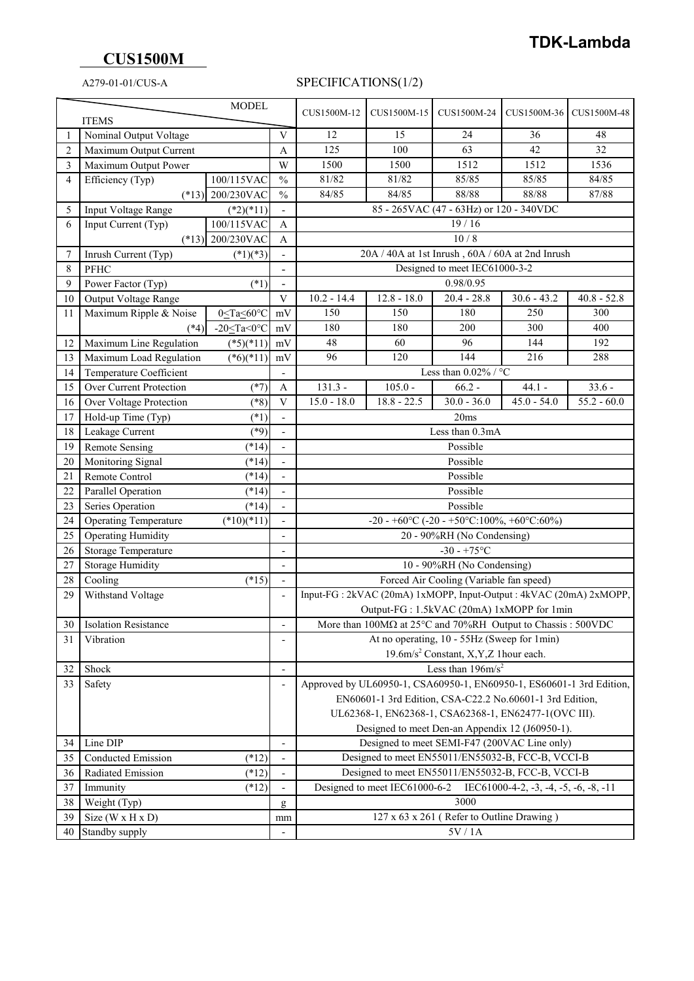## **CUS1500M**

## A279-01-01/CUS-A SPECIFICATIONS(1/2)

| <b>MODEL</b>   |                                                                                        |                                                                                                      |                              | CUS1500M-12                                                                                                                                  | CUS1500M-15   | CUS1500M-24                                      | CUS1500M-36   | CUS1500M-48   |  |  |
|----------------|----------------------------------------------------------------------------------------|------------------------------------------------------------------------------------------------------|------------------------------|----------------------------------------------------------------------------------------------------------------------------------------------|---------------|--------------------------------------------------|---------------|---------------|--|--|
| <b>ITEMS</b>   |                                                                                        |                                                                                                      |                              |                                                                                                                                              |               |                                                  |               |               |  |  |
| -1             | Nominal Output Voltage                                                                 |                                                                                                      |                              | 12                                                                                                                                           | 15            | 24                                               | 36            | 48            |  |  |
| $\overline{2}$ | Maximum Output Current                                                                 |                                                                                                      |                              | 125                                                                                                                                          | 100           | 63                                               | 42            | 32            |  |  |
| 3              | Maximum Output Power                                                                   |                                                                                                      |                              | 1500                                                                                                                                         | 1500          | 1512                                             | 1512          | 1536          |  |  |
| 4              | Efficiency (Typ)                                                                       | 100/115VAC                                                                                           | $\frac{0}{0}$                | 81/82                                                                                                                                        | 81/82         | 85/85                                            | 85/85         | 84/85         |  |  |
|                | $(*13)$                                                                                | 200/230VAC                                                                                           | $\frac{0}{0}$                | 84/85                                                                                                                                        | 84/85         | 88/88                                            | 88/88         | 87/88         |  |  |
| 5              | Input Voltage Range                                                                    | $(*2)(*11)$                                                                                          |                              |                                                                                                                                              |               | 85 - 265VAC (47 - 63Hz) or 120 - 340VDC          |               |               |  |  |
| 6              | Input Current (Typ)                                                                    | 100/115VAC                                                                                           | A                            |                                                                                                                                              |               | 19/16                                            |               |               |  |  |
|                |                                                                                        | $(*13)$ 200/230VAC                                                                                   | A                            |                                                                                                                                              |               | 10/8                                             |               |               |  |  |
| 7              | Inrush Current (Typ)                                                                   | $(*1)(*3)$                                                                                           |                              |                                                                                                                                              |               | 20A / 40A at 1st Inrush, 60A / 60A at 2nd Inrush |               |               |  |  |
| 8              | PFHC                                                                                   |                                                                                                      | -                            |                                                                                                                                              |               | Designed to meet IEC61000-3-2                    |               |               |  |  |
| 9              | Power Factor (Typ)                                                                     | $(*1)$                                                                                               | $\overline{a}$               |                                                                                                                                              |               | 0.98/0.95                                        |               |               |  |  |
| 10             | Output Voltage Range                                                                   |                                                                                                      | V                            | $10.2 - 14.4$                                                                                                                                | $12.8 - 18.0$ | $20.4 - 28.8$                                    | $30.6 - 43.2$ | $40.8 - 52.8$ |  |  |
| 11             | Maximum Ripple & Noise                                                                 | 0 <ta<60°c< td=""><td>mV</td><td>150</td><td>150</td><td>180</td><td>250</td><td>300</td></ta<60°c<> | mV                           | 150                                                                                                                                          | 150           | 180                                              | 250           | 300           |  |  |
|                | $(*4)$                                                                                 | -20 $\leq$ Ta<0 $\degree$ C                                                                          | mV                           | 180                                                                                                                                          | 180           | 200                                              | 300           | 400           |  |  |
| 12             | Maximum Line Regulation                                                                | $(*5)(*11)$                                                                                          | mV                           | 48                                                                                                                                           | 60            | 96                                               | 144           | 192           |  |  |
| 13             | Maximum Load Regulation                                                                | $(*6)(*11)$                                                                                          | mV                           | 96                                                                                                                                           | 120           | 144                                              | 216           | 288           |  |  |
| 14             | Temperature Coefficient                                                                |                                                                                                      |                              |                                                                                                                                              |               | Less than $0.02\%$ / °C                          |               |               |  |  |
| 15             | Over Current Protection                                                                | $(*7)$                                                                                               | $\mathbf{A}$                 | $131.3 -$                                                                                                                                    | $105.0 -$     | $66.2 -$                                         | $44.1 -$      | $33.6 -$      |  |  |
| 16             | Over Voltage Protection                                                                | $(*8)$                                                                                               | $\mathbf V$                  | $15.0 - 18.0$                                                                                                                                | $18.8 - 22.5$ | $30.0 - 36.0$                                    | $45.0 - 54.0$ | $55.2 - 60.0$ |  |  |
| 17             | Hold-up Time (Typ)                                                                     | $(*1)$                                                                                               | $\overline{a}$               | 20ms                                                                                                                                         |               |                                                  |               |               |  |  |
| 18             | Leakage Current                                                                        | $(*9)$                                                                                               | $\overline{a}$               | Less than 0.3mA                                                                                                                              |               |                                                  |               |               |  |  |
| 19             | <b>Remote Sensing</b>                                                                  | $(*14)$                                                                                              |                              | Possible                                                                                                                                     |               |                                                  |               |               |  |  |
| 20             | Monitoring Signal                                                                      | $(*14)$                                                                                              |                              | Possible                                                                                                                                     |               |                                                  |               |               |  |  |
| 21             | Remote Control                                                                         | $(*14)$                                                                                              |                              | Possible                                                                                                                                     |               |                                                  |               |               |  |  |
| 22             | Parallel Operation                                                                     | $(*14)$                                                                                              |                              | Possible                                                                                                                                     |               |                                                  |               |               |  |  |
| 23             | Series Operation                                                                       | $(*14)$                                                                                              |                              |                                                                                                                                              |               | Possible                                         |               |               |  |  |
| 24             | <b>Operating Temperature</b>                                                           | $(*10)(*11)$                                                                                         |                              |                                                                                                                                              |               | -20 - +60°C (-20 - +50°C:100%, +60°C:60%)        |               |               |  |  |
| 25             | <b>Operating Humidity</b>                                                              |                                                                                                      | $\overline{a}$               |                                                                                                                                              |               | 20 - 90%RH (No Condensing)                       |               |               |  |  |
| 26             | <b>Storage Temperature</b>                                                             |                                                                                                      |                              |                                                                                                                                              |               | $-30 - +75$ °C                                   |               |               |  |  |
| 27             | <b>Storage Humidity</b>                                                                |                                                                                                      |                              |                                                                                                                                              |               | 10 - 90%RH (No Condensing)                       |               |               |  |  |
| 28             | Cooling                                                                                | $(*15)$                                                                                              |                              |                                                                                                                                              |               | Forced Air Cooling (Variable fan speed)          |               |               |  |  |
| 29             | Input-FG: 2kVAC (20mA) 1xMOPP, Input-Output: 4kVAC (20mA) 2xMOPP,<br>Withstand Voltage |                                                                                                      |                              |                                                                                                                                              |               |                                                  |               |               |  |  |
|                | Output-FG: 1.5kVAC (20mA) 1xMOPP for 1min                                              |                                                                                                      |                              |                                                                                                                                              |               |                                                  |               |               |  |  |
|                | 30 Isolation Resistance                                                                |                                                                                                      | -                            | More than $100M\Omega$ at $25^{\circ}$ C and $70\%$ RH Output to Chassis : 500VDC<br>At no operating, 10 - 55Hz (Sweep for 1min)             |               |                                                  |               |               |  |  |
| 31             | Vibration                                                                              |                                                                                                      | $\overline{a}$               |                                                                                                                                              |               |                                                  |               |               |  |  |
|                |                                                                                        |                                                                                                      |                              | 19.6m/s <sup>2</sup> Constant, X,Y,Z 1hour each.                                                                                             |               |                                                  |               |               |  |  |
| 32             | Shock                                                                                  |                                                                                                      | $\qquad \qquad \blacksquare$ |                                                                                                                                              |               | Less than $196 \text{m/s}^2$                     |               |               |  |  |
| 33             | Safety                                                                                 |                                                                                                      | $\overline{a}$               | Approved by UL60950-1, CSA60950-1, EN60950-1, ES60601-1 3rd Edition,                                                                         |               |                                                  |               |               |  |  |
|                |                                                                                        |                                                                                                      |                              | EN60601-1 3rd Edition, CSA-C22.2 No.60601-1 3rd Edition,                                                                                     |               |                                                  |               |               |  |  |
|                |                                                                                        |                                                                                                      |                              | UL62368-1, EN62368-1, CSA62368-1, EN62477-1(OVC III).                                                                                        |               |                                                  |               |               |  |  |
|                |                                                                                        |                                                                                                      |                              | Designed to meet Den-an Appendix 12 (J60950-1).                                                                                              |               |                                                  |               |               |  |  |
| 34             | Line DIP                                                                               |                                                                                                      | $\overline{a}$               | Designed to meet SEMI-F47 (200VAC Line only)                                                                                                 |               |                                                  |               |               |  |  |
| 35             | Conducted Emission                                                                     | $(*12)$                                                                                              | $\overline{\phantom{m}}$     | Designed to meet EN55011/EN55032-B, FCC-B, VCCI-B                                                                                            |               |                                                  |               |               |  |  |
| 36             | Radiated Emission                                                                      | $(*12)$                                                                                              |                              | Designed to meet EN55011/EN55032-B, FCC-B, VCCI-B<br>Designed to meet IEC61000-6-2<br>IEC61000-4-2, $-3$ , $-4$ , $-5$ , $-6$ , $-8$ , $-11$ |               |                                                  |               |               |  |  |
| 37             | Immunity                                                                               | $(*12)$                                                                                              | $\overline{a}$               |                                                                                                                                              |               | 3000                                             |               |               |  |  |
| 38             | Weight (Typ)                                                                           |                                                                                                      | g                            |                                                                                                                                              |               |                                                  |               |               |  |  |
| 39             | Size ( $W \times H \times D$ )                                                         |                                                                                                      | mm                           |                                                                                                                                              |               | 127 x 63 x 261 (Refer to Outline Drawing)        |               |               |  |  |
| 40             | Standby supply                                                                         |                                                                                                      |                              |                                                                                                                                              |               | $\overline{5V}/1A$                               |               |               |  |  |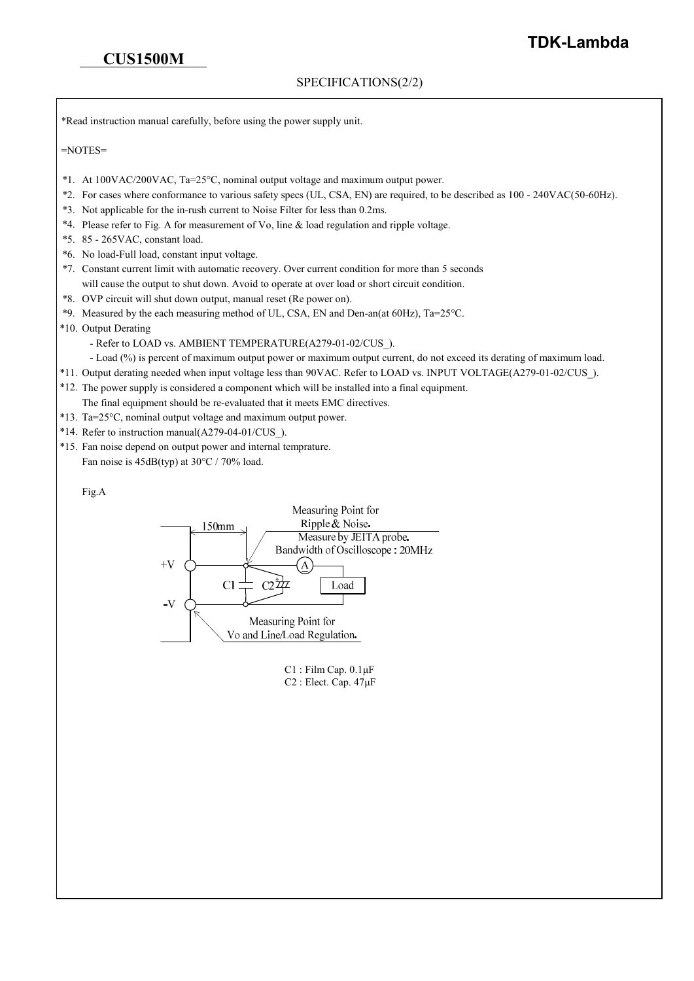### SPECIFICATIONS(2/2)

\*Read instruction manual carefully, before using the power supply unit.

=NOTES=

- \*1. At 100VAC/200VAC, Ta=25°C, nominal output voltage and maximum output power.
- \*2. For cases where conformance to various safety specs (UL, CSA, EN) are required, to be described as 100 240VAC(50-60Hz).
- \*3. Not applicable for the in-rush current to Noise Filter for less than 0.2ms.
- \*4. Please refer to Fig. A for measurement of Vo, line & load regulation and ripple voltage.
- \*5. 85 265VAC, constant load.
- \*6. No load-Full load, constant input voltage.
- \*7. Constant current limit with automatic recovery. Over current condition for more than 5 seconds will cause the output to shut down. Avoid to operate at over load or short circuit condition.
- \*8. OVP circuit will shut down output, manual reset (Re power on).
- \*9. Measured by the each measuring method of UL, CSA, EN and Den-an(at 60Hz), Ta=25°C.
- \*10. Output Derating
	- Refer to LOAD vs. AMBIENT TEMPERATURE(A279-01-02/CUS ).
	- Load (%) is percent of maximum output power or maximum output current, do not exceed its derating of maximum load.
- \*11. Output derating needed when input voltage less than 90VAC. Refer to LOAD vs. INPUT VOLTAGE(A279-01-02/CUS\_).
- \*12. The power supply is considered a component which will be installed into a final equipment.
- The final equipment should be re-evaluated that it meets EMC directives.
- \*13. Ta=25°C, nominal output voltage and maximum output power.
- \*14. Refer to instruction manual(A279-04-01/CUS\_).
- \*15. Fan noise depend on output power and internal temprature. Fan noise is  $45dB(typ)$  at  $30^{\circ}$ C / 70% load.

#### Fig.A



C1 : Film Cap. 0.1μF C2 : Elect. Cap. 47μF